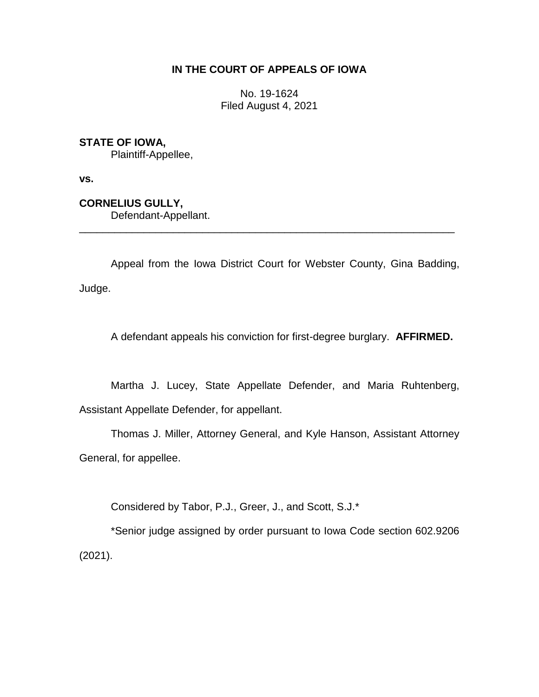## **IN THE COURT OF APPEALS OF IOWA**

No. 19-1624 Filed August 4, 2021

## **STATE OF IOWA,**

Plaintiff-Appellee,

**vs.**

**CORNELIUS GULLY,**

Defendant-Appellant.

Appeal from the Iowa District Court for Webster County, Gina Badding, Judge.

\_\_\_\_\_\_\_\_\_\_\_\_\_\_\_\_\_\_\_\_\_\_\_\_\_\_\_\_\_\_\_\_\_\_\_\_\_\_\_\_\_\_\_\_\_\_\_\_\_\_\_\_\_\_\_\_\_\_\_\_\_\_\_\_

A defendant appeals his conviction for first-degree burglary. **AFFIRMED.**

Martha J. Lucey, State Appellate Defender, and Maria Ruhtenberg, Assistant Appellate Defender, for appellant.

Thomas J. Miller, Attorney General, and Kyle Hanson, Assistant Attorney General, for appellee.

Considered by Tabor, P.J., Greer, J., and Scott, S.J.\*

\*Senior judge assigned by order pursuant to Iowa Code section 602.9206 (2021).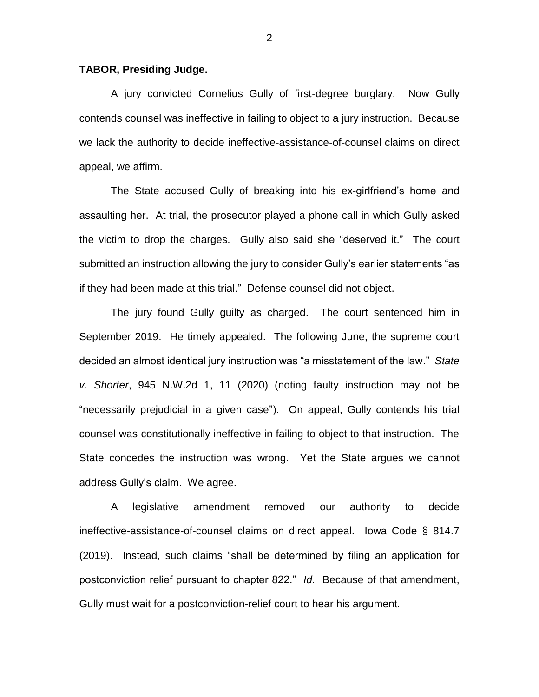## **TABOR, Presiding Judge.**

A jury convicted Cornelius Gully of first-degree burglary. Now Gully contends counsel was ineffective in failing to object to a jury instruction. Because we lack the authority to decide ineffective-assistance-of-counsel claims on direct appeal, we affirm.

The State accused Gully of breaking into his ex-girlfriend's home and assaulting her. At trial, the prosecutor played a phone call in which Gully asked the victim to drop the charges. Gully also said she "deserved it." The court submitted an instruction allowing the jury to consider Gully's earlier statements "as if they had been made at this trial." Defense counsel did not object.

The jury found Gully guilty as charged. The court sentenced him in September 2019. He timely appealed. The following June, the supreme court decided an almost identical jury instruction was "a misstatement of the law." *State v. Shorter*, 945 N.W.2d 1, 11 (2020) (noting faulty instruction may not be "necessarily prejudicial in a given case"). On appeal, Gully contends his trial counsel was constitutionally ineffective in failing to object to that instruction. The State concedes the instruction was wrong. Yet the State argues we cannot address Gully's claim. We agree.

A legislative amendment removed our authority to decide ineffective-assistance-of-counsel claims on direct appeal. Iowa Code § 814.7 (2019). Instead, such claims "shall be determined by filing an application for postconviction relief pursuant to chapter 822." *Id.* Because of that amendment, Gully must wait for a postconviction-relief court to hear his argument.